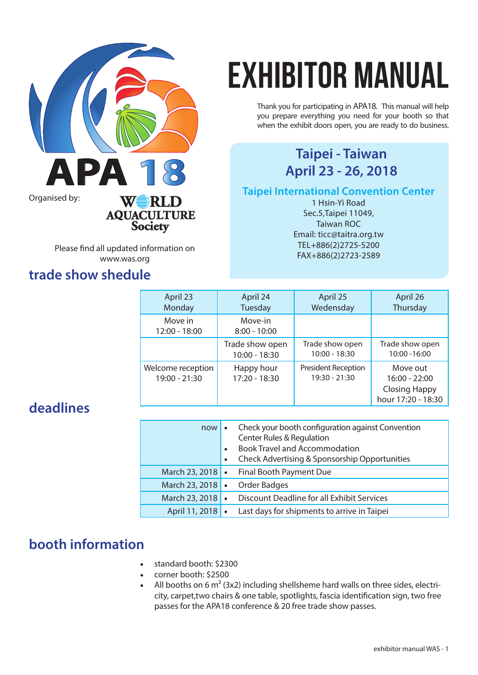

Please find all updated information on www.was.org

## **trade show shedule**

# exhibitor manual

Thank you for participating in APA18. This manual will help you prepare everything you need for your booth so that when the exhibit doors open, you are ready to do business.

## **Taipei - Taiwan**

**Taipei International Convention Center** 

1 Hsin-Yi Road Sec.5,Taipei 11049, Taiwan ROC Email: ticc@taitra.org.tw TEL+886(2)2725-5200 FAX+886(2)2723-2589

| April 23                           | April 24                    | April 25                                    | April 26                                                                  |
|------------------------------------|-----------------------------|---------------------------------------------|---------------------------------------------------------------------------|
| Monday                             | Tuesday                     | Wedensday                                   | Thursday                                                                  |
| Move in<br>12:00 - 18:00           | Move-in<br>$8:00 - 10:00$   |                                             |                                                                           |
|                                    | Trade show open             | Trade show open                             | Trade show open                                                           |
|                                    | 10:00 - 18:30               | $10:00 - 18:30$                             | 10:00 - 16:00                                                             |
| Welcome reception<br>19:00 - 21:30 | Happy hour<br>17:20 - 18:30 | <b>President Reception</b><br>19:30 - 21:30 | Move out<br>$16:00 - 22:00$<br><b>Closing Happy</b><br>hour 17:20 - 18:30 |

## **deadlines**

| now                | Check your booth configuration against Convention<br>Center Rules & Regulation<br><b>Book Travel and Accommodation</b><br>Check Advertising & Sponsorship Opportunities |
|--------------------|-------------------------------------------------------------------------------------------------------------------------------------------------------------------------|
| March 23, 2018   • | Final Booth Payment Due                                                                                                                                                 |
| March 23, 2018     | Order Badges                                                                                                                                                            |
| March 23, 2018     | Discount Deadline for all Exhibit Services                                                                                                                              |
| April 11, 2018   . | Last days for shipments to arrive in Taipei                                                                                                                             |

## **booth information**

- • standard booth: \$2300
- corner booth: \$2500
- All booths on 6  $m^2$  (3x2) including shellsheme hard walls on three sides, electricity, carpet,two chairs & one table, spotlights, fascia identification sign, two free passes for the APA18 conference & 20 free trade show passes.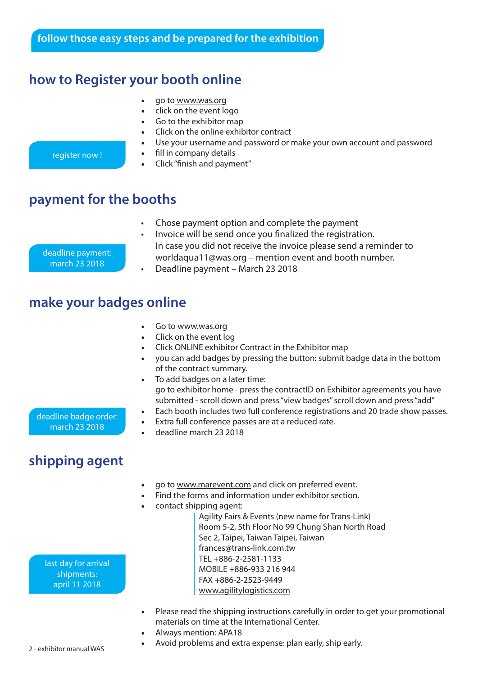## **how to Register your booth online**

- go to www.was.org
- click on the event logo
- Go to the exhibitor map
- Click on the online exhibitor contract
- Use your username and password or make your own account and password
- fill in company details
- Click "finish and payment"

## **payment for the booths**

- Chose payment option and complete the payment
- Invoice will be send once you finalized the registration. In case you did not receive the invoice please send a reminder to worldaqua11@was.org – mention event and booth number.
- Deadline payment March 23 2018

## **make your badges online**

- Go to www.was.org
- Click on the event log
- • Click ONLINE exhibitor Contract in the Exhibitor map
- you can add badges by pressing the button: submit badge data in the bottom of the contract summary.
- To add badges on a later time: go to exhibitor home - press the contractID on Exhibitor agreements you have submitted - scroll down and press "view badges" scroll down and press "add"
- Each booth includes two full conference registrations and 20 trade show passes.

#### Extra full conference passes are at a reduced rate. deadline badge order: march 23 2018

deadline march 23 2018

## **shipping agent**

- go to www.marevent.com and click on preferred event.
- Find the forms and information under exhibitor section.
- contact shipping agent:

last day for arrival shipments: april 11 2018

Agility Fairs & Events (new name for Trans-Link) Room 5-2, 5th Floor No 99 Chung Shan North Road Sec 2, Taipei, Taiwan Taipei, Taiwan frances@trans-link.com.tw TEL +886-2-2581-1133 MOBILE +886-933 216 944 FAX +886-2-2523-9449 www.agilitylogistics.com

- Please read the shipping instructions carefully in order to get your promotional materials on time at the International Center.
- Always mention: APA18
- Avoid problems and extra expense: plan early, ship early.

deadline payment: march 23 2018

register now !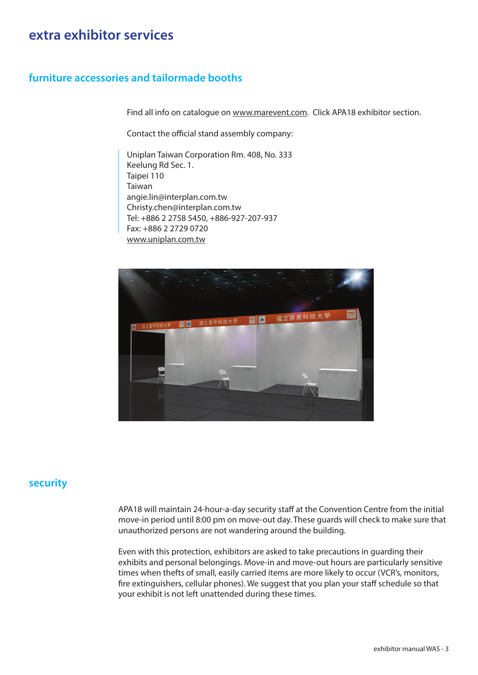## **extra exhibitor services**

#### **furniture accessories and tailormade booths**

Find all info on catalogue on www.marevent.com. Click APA18 exhibitor section.

Contact the official stand assembly company:

Uniplan Taiwan Corporation Rm. 408, No. 333 Keelung Rd Sec. 1. Taipei 110 Taiwan angie.lin@interplan.com.tw Christy.chen@interplan.com.tw Tel: +886 2 2758 5450, +886-927-207-937 Fax: +886 2 2729 0720 www.uniplan.com.tw



#### **security**

APA18 will maintain 24-hour-a-day security staff at the Convention Centre from the initial move-in period until 8:00 pm on move-out day. These guards will check to make sure that unauthorized persons are not wandering around the building.

Even with this protection, exhibitors are asked to take precautions in guarding their exhibits and personal belongings. Move-in and move-out hours are particularly sensitive times when thefts of small, easily carried items are more likely to occur (VCR's, monitors, fire extinguishers, cellular phones). We suggest that you plan your staff schedule so that your exhibit is not left unattended during these times.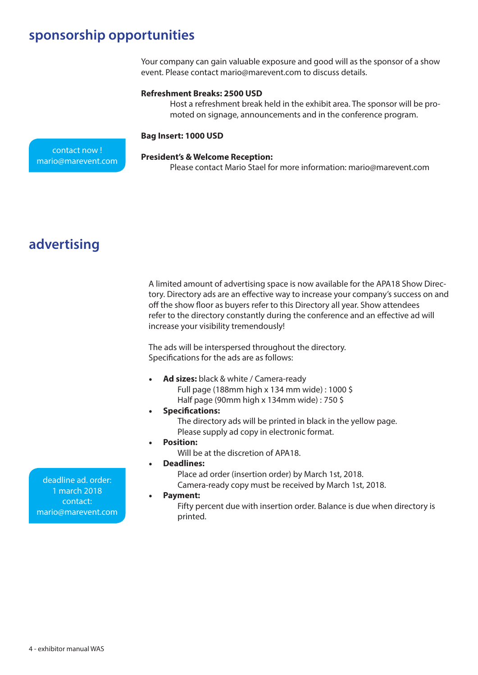## **sponsorship opportunities**

Your company can gain valuable exposure and good will as the sponsor of a show event. Please contact mario@marevent.com to discuss details.

#### **Refreshment Breaks: 2500 USD**

Host a refreshment break held in the exhibit area. The sponsor will be promoted on signage, announcements and in the conference program.

#### **Bag Insert: 1000 USD**

contact now ! mario@marevent.com

#### **President's & Welcome Reception:**

Please contact Mario Stael for more information: mario@marevent.com

## **advertising**

A limited amount of advertising space is now available for the APA18 Show Directory. Directory ads are an effective way to increase your company's success on and off the show floor as buyers refer to this Directory all year. Show attendees refer to the directory constantly during the conference and an effective ad will increase your visibility tremendously!

The ads will be interspersed throughout the directory. Specifications for the ads are as follows:

- • **Ad sizes:** black & white / Camera-ready Full page (188mm high x 134 mm wide) : 1000 \$
	- Half page (90mm high x 134mm wide) : 750 \$
- **Specifications:** 
	- The directory ads will be printed in black in the yellow page. Please supply ad copy in electronic format.
- **Position:** 
	- Will be at the discretion of APA18.
- **Deadlines:**

Place ad order (insertion order) by March 1st, 2018.

Camera-ready copy must be received by March 1st, 2018.

Payment:

Fifty percent due with insertion order. Balance is due when directory is printed.

deadline ad. order: 1 march 2018 contact: mario@marevent.com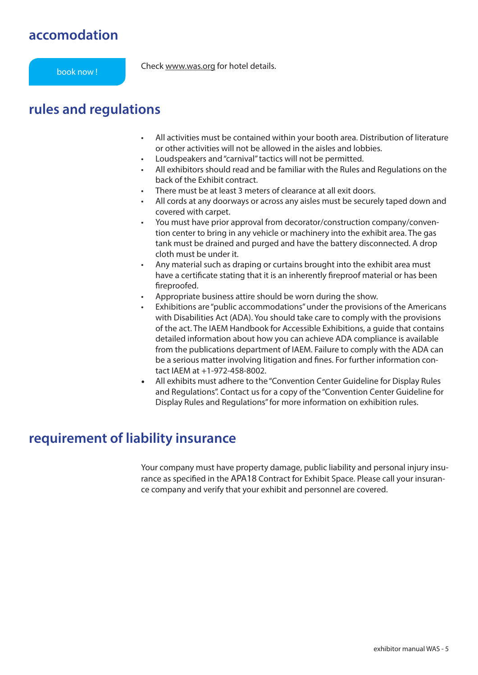## **accomodation**

Check www.was.org for hotel details. book now !

## **rules and regulations**

- All activities must be contained within your booth area. Distribution of literature or other activities will not be allowed in the aisles and lobbies.
- Loudspeakers and "carnival" tactics will not be permitted.
- All exhibitors should read and be familiar with the Rules and Regulations on the back of the Exhibit contract.
- There must be at least 3 meters of clearance at all exit doors.
- All cords at any doorways or across any aisles must be securely taped down and covered with carpet.
- You must have prior approval from decorator/construction company/convention center to bring in any vehicle or machinery into the exhibit area. The gas tank must be drained and purged and have the battery disconnected. A drop cloth must be under it.
- Any material such as draping or curtains brought into the exhibit area must have a certificate stating that it is an inherently fireproof material or has been fireproofed.
- Appropriate business attire should be worn during the show.
- Exhibitions are "public accommodations" under the provisions of the Americans with Disabilities Act (ADA). You should take care to comply with the provisions of the act. The IAEM Handbook for Accessible Exhibitions, a guide that contains detailed information about how you can achieve ADA compliance is available from the publications department of IAEM. Failure to comply with the ADA can be a serious matter involving litigation and fines. For further information contact IAEM at +1-972-458-8002.
- All exhibits must adhere to the "Convention Center Guideline for Display Rules and Regulations". Contact us for a copy of the "Convention Center Guideline for Display Rules and Regulations" for more information on exhibition rules.

## **requirement of liability insurance**

Your company must have property damage, public liability and personal injury insurance as specified in the APA18 Contract for Exhibit Space. Please call your insurance company and verify that your exhibit and personnel are covered.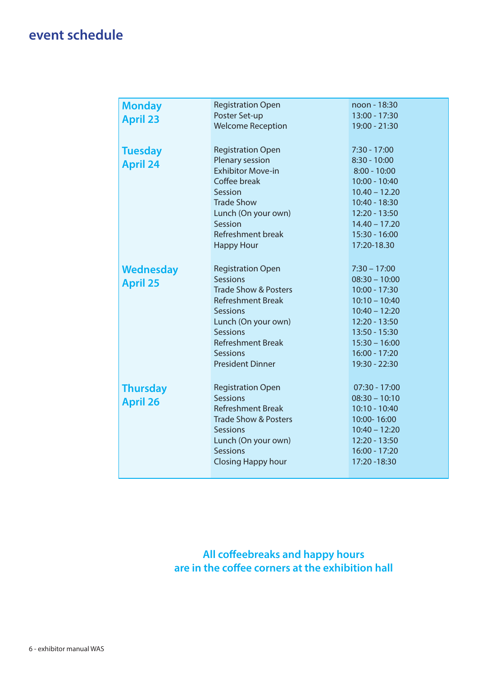## **event schedule**

| <b>Monday</b>    | <b>Registration Open</b>        | noon - 18:30    |
|------------------|---------------------------------|-----------------|
| <b>April 23</b>  | Poster Set-up                   | 13:00 - 17:30   |
|                  | <b>Welcome Reception</b>        | 19:00 - 21:30   |
|                  |                                 |                 |
| <b>Tuesday</b>   | <b>Registration Open</b>        | $7:30 - 17:00$  |
| <b>April 24</b>  | Plenary session                 | $8:30 - 10:00$  |
|                  | <b>Exhibitor Move-in</b>        | $8:00 - 10:00$  |
|                  | Coffee break                    | 10:00 - 10:40   |
|                  | Session                         | $10.40 - 12.20$ |
|                  | <b>Trade Show</b>               | 10:40 - 18:30   |
|                  | Lunch (On your own)             | 12:20 - 13:50   |
|                  | Session                         | $14.40 - 17.20$ |
|                  | <b>Refreshment break</b>        | $15:30 - 16:00$ |
|                  | <b>Happy Hour</b>               | 17:20-18.30     |
|                  |                                 |                 |
| <b>Wednesday</b> | <b>Registration Open</b>        | $7:30 - 17:00$  |
| <b>April 25</b>  | <b>Sessions</b>                 | $08:30 - 10:00$ |
|                  | <b>Trade Show &amp; Posters</b> | $10:00 - 17:30$ |
|                  | <b>Refreshment Break</b>        | $10:10 - 10:40$ |
|                  | <b>Sessions</b>                 | $10:40 - 12:20$ |
|                  | Lunch (On your own)             | 12:20 - 13:50   |
|                  | <b>Sessions</b>                 | 13:50 - 15:30   |
|                  | <b>Refreshment Break</b>        | $15:30 - 16:00$ |
|                  | <b>Sessions</b>                 | $16:00 - 17:20$ |
|                  | <b>President Dinner</b>         | 19:30 - 22:30   |
|                  |                                 |                 |
| <b>Thursday</b>  | <b>Registration Open</b>        | $07:30 - 17:00$ |
| <b>April 26</b>  | <b>Sessions</b>                 | $08:30 - 10:10$ |
|                  | <b>Refreshment Break</b>        | $10:10 - 10:40$ |
|                  | <b>Trade Show &amp; Posters</b> | 10:00-16:00     |
|                  | <b>Sessions</b>                 | $10:40 - 12:20$ |
|                  | Lunch (On your own)             | 12:20 - 13:50   |
|                  | <b>Sessions</b>                 | $16:00 - 17:20$ |
|                  | <b>Closing Happy hour</b>       | 17:20 - 18:30   |
|                  |                                 |                 |

**All coffeebreaks and happy hours are in the coffee corners at the exhibition hall**